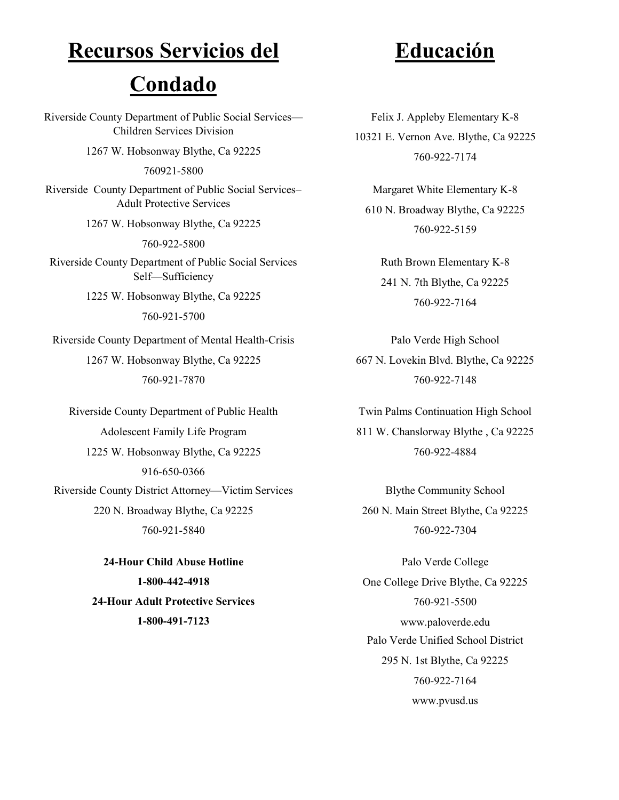# **Recursos Servicios del**

## **Condado**

Riverside County Department of Public Social Services— Children Services Division 1267 W. Hobsonway Blythe, Ca 92225 760921-5800 Riverside County Department of Public Social Services– Adult Protective Services 1267 W. Hobsonway Blythe, Ca 92225 760-922-5800 Riverside County Department of Public Social Services Self—Sufficiency 1225 W. Hobsonway Blythe, Ca 92225 760-921-5700 Riverside County Department of Mental Health-Crisis 1267 W. Hobsonway Blythe, Ca 92225

760-921-7870

Riverside County Department of Public Health Adolescent Family Life Program 1225 W. Hobsonway Blythe, Ca 92225 916-650-0366 Riverside County District Attorney—Victim Services 220 N. Broadway Blythe, Ca 92225 760-921-5840

> **-Hour Child Abuse Hotline -800-442-4918 -Hour Adult Protective Services -800-491-7123**

## **Educación**

Felix J. Appleby Elementary K-8 10321 E. Vernon Ave. Blythe, Ca 92225 760-922-7174

Margaret White Elementary K-8 610 N. Broadway Blythe, Ca 92225 760-922-5159

Ruth Brown Elementary K-8 241 N. 7th Blythe, Ca 92225 760-922-7164

Palo Verde High School 667 N. Lovekin Blvd. Blythe, Ca 92225 760-922-7148

Twin Palms Continuation High School 811 W. Chanslorway Blythe , Ca 92225 760-922-4884

Blythe Community School 260 N. Main Street Blythe, Ca 92225 760-922-7304

Palo Verde College One College Drive Blythe, Ca 92225 760-921-5500 www.paloverde.edu Palo Verde Unified School District 295 N. 1st Blythe, Ca 92225 760-922-7164 www.pvusd.us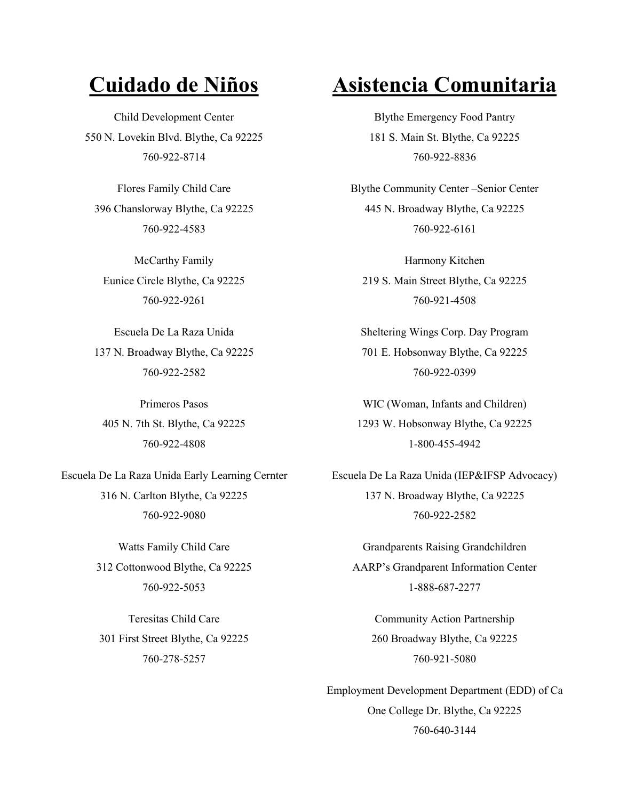Child Development Center 550 N. Lovekin Blvd. Blythe, Ca 92225 760-922-8714

Flores Family Child Care 396 Chanslorway Blythe, Ca 92225 760-922-4583

McCarthy Family Eunice Circle Blythe, Ca 92225 760-922-9261

Escuela De La Raza Unida 137 N. Broadway Blythe, Ca 92225 760-922-2582

Primeros Pasos 405 N. 7th St. Blythe, Ca 92225 760-922-4808

Escuela De La Raza Unida Early Learning Cernter 316 N. Carlton Blythe, Ca 92225 760-922-9080

> Watts Family Child Care 312 Cottonwood Blythe, Ca 92225 760-922-5053

Teresitas Child Care 301 First Street Blythe, Ca 92225 760-278-5257

## **Cuidado de Niños Asistencia Comunitaria**

Blythe Emergency Food Pantry 181 S. Main St. Blythe, Ca 92225 760-922-8836

Blythe Community Center –Senior Center 445 N. Broadway Blythe, Ca 92225 760-922-6161

Harmony Kitchen 219 S. Main Street Blythe, Ca 92225 760-921-4508

Sheltering Wings Corp. Day Program 701 E. Hobsonway Blythe, Ca 92225 760-922-0399

WIC (Woman, Infants and Children) 1293 W. Hobsonway Blythe, Ca 92225 1-800-455-4942

Escuela De La Raza Unida (IEP&IFSP Advocacy) 137 N. Broadway Blythe, Ca 92225 760-922-2582

Grandparents Raising Grandchildren AARP's Grandparent Information Center 1-888-687-2277

Community Action Partnership 260 Broadway Blythe, Ca 92225 760-921-5080

Employment Development Department (EDD) of Ca One College Dr. Blythe, Ca 92225 760-640-3144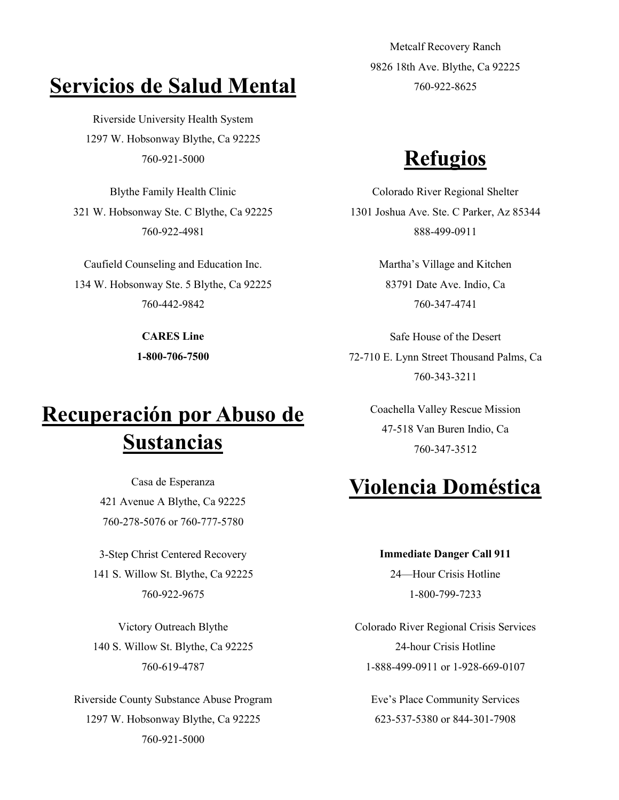### **Servicios de Salud Mental**

Riverside University Health System 1297 W. Hobsonway Blythe, Ca 92225 <sup>760</sup>-921-<sup>5000</sup> **Refugios**

Blythe Family Health Clinic 321 W. Hobsonway Ste. C Blythe, Ca 92225 760-922-4981

Caufield Counseling and Education Inc. 134 W. Hobsonway Ste. 5 Blythe, Ca 92225 760-442-9842

> **CARES Line 1-800-706-7500**

## **Recuperación por Abuso de Sustancias**

Casa de Esperanza 421 Avenue A Blythe, Ca 92225 760-278-5076 or 760-777-5780

3-Step Christ Centered Recovery 141 S. Willow St. Blythe, Ca 92225 760-922-9675

Victory Outreach Blythe 140 S. Willow St. Blythe, Ca 92225 760-619-4787

Riverside County Substance Abuse Program 1297 W. Hobsonway Blythe, Ca 92225 760-921-5000

Metcalf Recovery Ranch 9826 18th Ave. Blythe, Ca 92225 760-922-8625

Colorado River Regional Shelter 1301 Joshua Ave. Ste. C Parker, Az 85344 888-499-0911

> Martha's Village and Kitchen 83791 Date Ave. Indio, Ca 760-347-4741

Safe House of the Desert 72-710 E. Lynn Street Thousand Palms, Ca 760-343-3211

> Coachella Valley Rescue Mission 47-518 Van Buren Indio, Ca 760-347-3512

### **Violencia Doméstica**

### **Immediate Danger Call 911**

24—Hour Crisis Hotline 1-800-799-7233

Colorado River Regional Crisis Services 24-hour Crisis Hotline 1-888-499-0911 or 1-928-669-0107

Eve's Place Community Services 623-537-5380 or 844-301-7908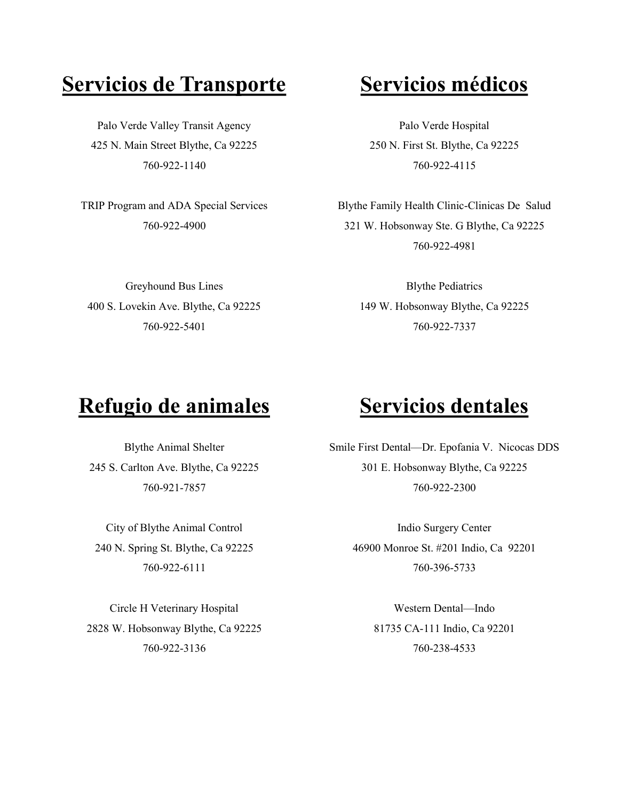## **Servicios de Transporte Servicios médicos**

Palo Verde Valley Transit Agency 425 N. Main Street Blythe, Ca 92225 760-922-1140

TRIP Program and ADA Special Services 760-922-4900

Palo Verde Hospital 250 N. First St. Blythe, Ca 92225 760-922-4115

Blythe Family Health Clinic-Clinicas De Salud 321 W. Hobsonway Ste. G Blythe, Ca 92225 760-922-4981

Greyhound Bus Lines 400 S. Lovekin Ave. Blythe, Ca 92225 760-922-5401

### Blythe Pediatrics 149 W. Hobsonway Blythe, Ca 92225 760-922-7337

### **Refugio de animales Servicios dentales**

Blythe Animal Shelter 245 S. Carlton Ave. Blythe, Ca 92225 760-921-7857

City of Blythe Animal Control 240 N. Spring St. Blythe, Ca 92225 760-922-6111

Circle H Veterinary Hospital 2828 W. Hobsonway Blythe, Ca 92225 760-922-3136

Smile First Dental—Dr. Epofania V. Nicocas DDS 301 E. Hobsonway Blythe, Ca 92225 760-922-2300

> Indio Surgery Center 46900 Monroe St. #201 Indio, Ca 92201 760-396-5733

> > Western Dental—Indo 81735 CA-111 Indio, Ca 92201 760-238-4533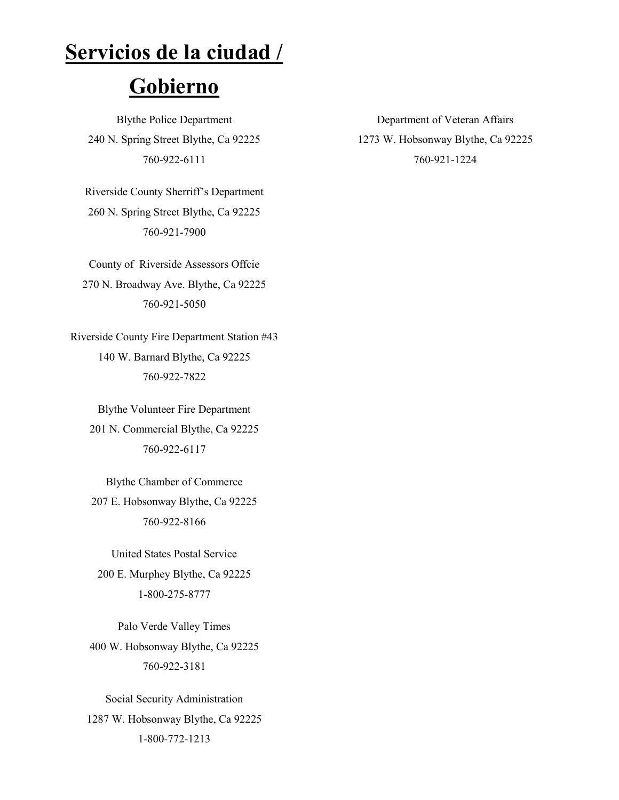### **Servicios de la ciudad /**

### **Gobierno**

Blythe Police Department 240 N. Spring Street Blythe, Ca 92225 760-922-6111

Riverside County Sherriff's Department 260 N. Spring Street Blythe, Ca 92225 760-921-7900

County of Riverside Assessors Offcie 270 N. Broadway Ave. Blythe, Ca 92225 760-921-5050

Riverside County Fire Department Station #43 140 W. Barnard Blythe, Ca 92225 760-922-7822

Blythe Volunteer Fire Department 201 N. Commercial Blythe, Ca 92225 760-922-6117

Blythe Chamber of Commerce 207 E. Hobsonway Blythe, Ca 92225 760-922-8166

United States Postal Service 200 E. Murphey Blythe, Ca 92225 1-800-275-8777

Palo Verde Valley Times 400 W. Hobsonway Blythe, Ca 92225 760-922-3181

Social Security Administration 1287 W. Hobsonway Blythe, Ca 92225 1-800-772-1213

Department of Veteran Affairs 1273 W. Hobsonway Blythe, Ca 92225 760-921-1224